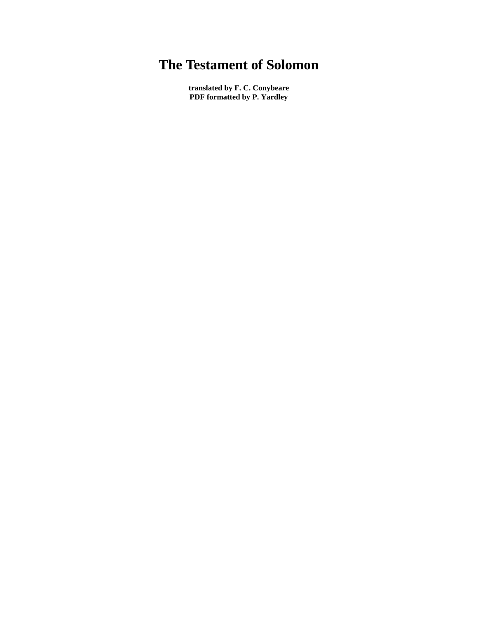## **The Testament of Solomon**

**translated by F. C. Conybeare PDF formatted by P. Yardley**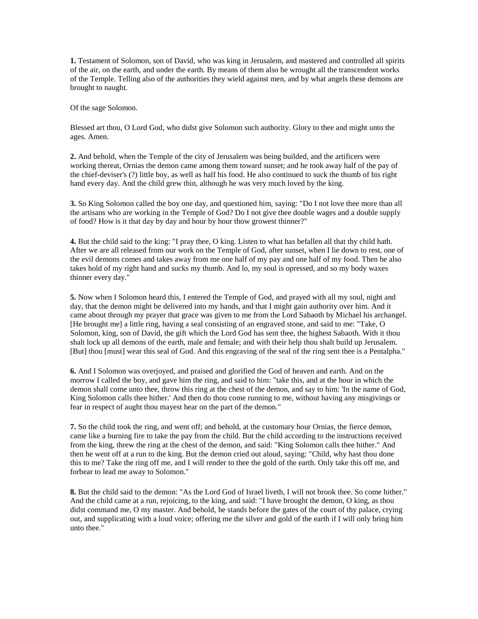**1.** Testament of Solomon, son of David, who was king in Jerusalem, and mastered and controlled all spirits of the air, on the earth, and under the earth. By means of them also he wrought all the transcendent works of the Temple. Telling also of the authorities they wield against men, and by what angels these demons are brought to naught.

Of the sage Solomon.

Blessed art thou, O Lord God, who didst give Solomon such authority. Glory to thee and might unto the ages. Amen.

**2.** And behold, when the Temple of the city of Jerusalem was being builded, and the artificers were working thereat, Ornias the demon came among them toward sunset; and he took away half of the pay of the chief-deviser's (?) little boy, as well as half his food. He also continued to suck the thumb of his right hand every day. And the child grew thin, although he was very much loved by the king.

**3.** So King Solomon called the boy one day, and questioned him, saying: "Do I not love thee more than all the artisans who are working in the Temple of God? Do I not give thee double wages and a double supply of food? How is it that day by day and hour by hour thow growest thinner?"

**4.** But the child said to the king: "I pray thee, O king. Listen to what has befallen all that thy child hath. After we are all released from our work on the Temple of God, after sunset, when I lie down to rest, one of the evil demons comes and takes away from me one half of my pay and one half of my food. Then he also takes hold of my right hand and sucks my thumb. And lo, my soul is opressed, and so my body waxes thinner every day."

**5.** Now when I Solomon heard this, I entered the Temple of God, and prayed with all my soul, night and day, that the demon might be delivered into my hands, and that I might gain authority over him. And it came about through my prayer that grace was given to me from the Lord Sabaoth by Michael his archangel. [He brought me] a little ring, having a seal consisting of an engraved stone, and said to me: "Take, O Solomon, king, son of David, the gift which the Lord God has sent thee, the highest Sabaoth. With it thou shalt lock up all demons of the earth, male and female; and with their help thou shalt build up Jerusalem. [But] thou [must] wear this seal of God. And this engraving of the seal of the ring sent thee is a Pentalpha."

**6.** And I Solomon was overjoyed, and praised and glorified the God of heaven and earth. And on the morrow I called the boy, and gave him the ring, and said to him: "take this, and at the hour in which the demon shall come unto thee, throw this ring at the chest of the demon, and say to him: 'In the name of God, King Solomon calls thee hither.' And then do thou come running to me, without having any misgivings or fear in respect of aught thou mayest hear on the part of the demon."

**7.** So the child took the ring, and went off; and behold, at the customary hour Ornias, the fierce demon, came like a burning fire to take the pay from the child. But the child according to the instructions received from the king, threw the ring at the chest of the demon, and said: "King Solomon calls thee hither." And then he went off at a run to the king. But the demon cried out aloud, saying: "Child, why hast thou done this to me? Take the ring off me, and I will render to thee the gold of the earth. Only take this off me, and forbear to lead me away to Solomon."

**8.** But the child said to the demon: "As the Lord God of Israel liveth, I will not brook thee. So come hither." And the child came at a run, rejoicing, to the king, and said: "I have brought the demon, O king, as thou didst command me, O my master. And behold, he stands before the gates of the court of thy palace, crying out, and supplicating with a loud voice; offering me the silver and gold of the earth if I will only bring him unto thee."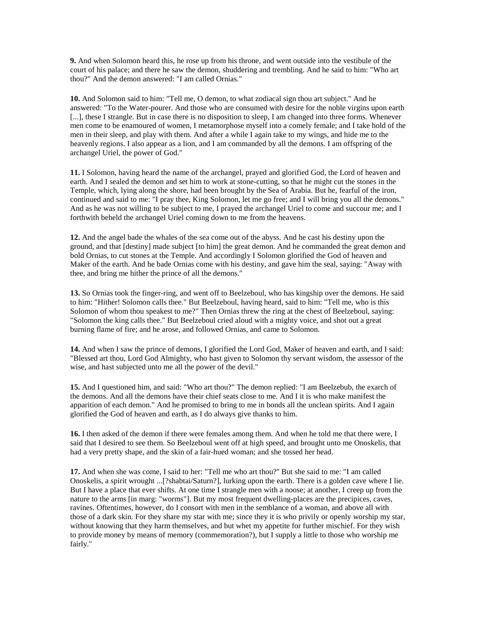**9.** And when Solomon heard this, he rose up from his throne, and went outside into the vestibule of the court of his palace; and there he saw the demon, shuddering and trembling. And he said to him: "Who art thou?" And the demon answered: "I am called Ornias."

**10.** And Solomon said to him: "Tell me, O demon, to what zodiacal sign thou art subject." And he answered: "To the Water-pourer. And those who are consumed with desire for the noble virgins upon earth [...], these I strangle. But in case there is no disposition to sleep, I am changed into three forms. Whenever men come to be enamoured of women, I metamorphose myself into a comely female; and I take hold of the men in their sleep, and play with them. And after a while I again take to my wings, and hide me to the heavenly regions. I also appear as a lion, and I am commanded by all the demons. I am offspring of the archangel Uriel, the power of God."

**11.** I Solomon, having heard the name of the archangel, prayed and glorified God, the Lord of heaven and earth. And I sealed the demon and set him to work at stone-cutting, so that he might cut the stones in the Temple, which, lying along the shore, had been brought by the Sea of Arabia. But he, fearful of the iron, continued and said to me: "I pray thee, King Solomon, let me go free; and I will bring you all the demons." And as he was not willing to be subject to me, I prayed the archangel Uriel to come and succour me; and I forthwith beheld the archangel Uriel coming down to me from the heavens.

**12.** And the angel bade the whales of the sea come out of the abyss. And he cast his destiny upon the ground, and that [destiny] made subject [to him] the great demon. And he commanded the great demon and bold Ornias, to cut stones at the Temple. And accordingly I Solomon glorified the God of heaven and Maker of the earth. And he bade Ornias come with his destiny, and gave him the seal, saying: "Away with thee, and bring me hither the prince of all the demons."

**13.** So Ornias took the finger-ring, and went off to Beelzeboul, who has kingship over the demons. He said to him: "Hither! Solomon calls thee." But Beelzeboul, having heard, said to him: "Tell me, who is this Solomon of whom thou speakest to me?" Then Ornias threw the ring at the chest of Beelzeboul, saying: "Solomon the king calls thee." But Beelzeboul cried aloud with a mighty voice, and shot out a great burning flame of fire; and he arose, and followed Ornias, and came to Solomon.

**14.** And when I saw the prince of demons, I glorified the Lord God, Maker of heaven and earth, and I said: "Blessed art thou, Lord God Almighty, who hast given to Solomon thy servant wisdom, the assessor of the wise, and hast subjected unto me all the power of the devil."

**15.** And I questioned him, and said: "Who art thou?" The demon replied: "I am Beelzebub, the exarch of the demons. And all the demons have their chief seats close to me. And I it is who make manifest the apparition of each demon." And he promised to bring to me in bonds all the unclean spirits. And I again glorified the God of heaven and earth, as I do always give thanks to him.

**16.** I then asked of the demon if there were females among them. And when he told me that there were, I said that I desired to see them. So Beelzeboul went off at high speed, and brought unto me Onoskelis, that had a very pretty shape, and the skin of a fair-hued woman; and she tossed her head.

**17.** And when she was come, I said to her: "Tell me who art thou?'' But she said to me: "I am called Onoskelis, a spirit wrought ...[?shabtai/Saturn?], lurking upon the earth. There is a golden cave where I lie. But I have a place that ever shifts. At one time I strangle men with a noose; at another, I creep up from the nature to the arms [in marg: "worms"]. But my most frequent dwelling-places are the precipices, caves, ravines. Oftentimes, however, do I consort with men in the semblance of a woman, and above all with those of a dark skin. For they share my star with me; since they it is who privily or openly worship my star, without knowing that they harm themselves, and but whet my appetite for further mischief. For they wish to provide money by means of memory (commemoration?), but I supply a little to those who worship me fairly."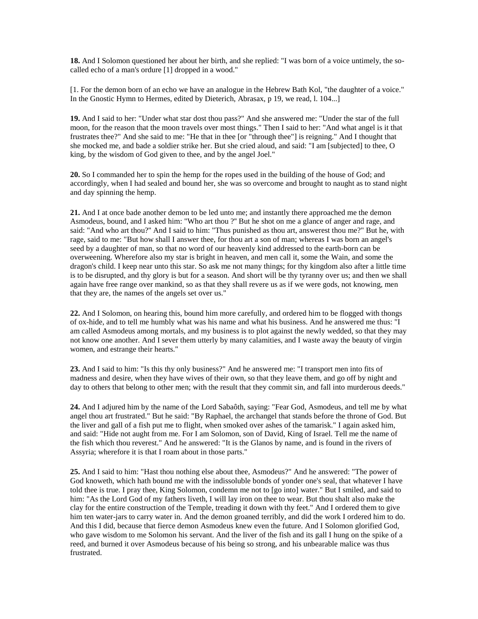**18.** And I Solomon questioned her about her birth, and she replied: "I was born of a voice untimely, the socalled echo of a man's ordure [1] dropped in a wood."

[1. For the demon born of an echo we have an analogue in the Hebrew Bath Kol, "the daughter of a voice." In the Gnostic Hymn to Hermes, edited by Dieterich, Abrasax, p 19, we read, l. 104...]

**19.** And I said to her: "Under what star dost thou pass?" And she answered me: "Under the star of the full moon, for the reason that the moon travels over most things." Then I said to her: "And what angel is it that frustrates thee?" And she said to me: "He that in thee [or "through thee"] is reigning." And I thought that she mocked me, and bade a soldier strike her. But she cried aloud, and said: "I am [subjected] to thee, O king, by the wisdom of God given to thee, and by the angel Joel."

**20.** So I commanded her to spin the hemp for the ropes used in the building of the house of God; and accordingly, when I had sealed and bound her, she was so overcome and brought to naught as to stand night and day spinning the hemp.

**21.** And I at once bade another demon to be led unto me; and instantly there approached me the demon Asmodeus, bound, and I asked him: "Who art thou ?'' But he shot on me a glance of anger and rage, and said: "And who art thou?'' And I said to him: "Thus punished as thou art, answerest thou me?" But he, with rage, said to me: "But how shall I answer thee, for thou art a son of man; whereas I was born an angel's seed by a daughter of man, so that no word of our heavenly kind addressed to the earth-born can be overweening. Wherefore also my star is bright in heaven, and men call it, some the Wain, and some the dragon's child. I keep near unto this star. So ask me not many things; for thy kingdom also after a little time is to be disrupted, and thy glory is but for a season. And short will be thy tyranny over us; and then we shall again have free range over mankind, so as that they shall revere us as if we were gods, not knowing, men that they are, the names of the angels set over us."

**22.** And I Solomon, on hearing this, bound him more carefully, and ordered him to be flogged with thongs of ox-hide, and to tell me humbly what was his name and what his business. And he answered me thus: "I am called Asmodeus among mortals, and my business is to plot against the newly wedded, so that they may not know one another. And I sever them utterly by many calamities, and I waste away the beauty of virgin women, and estrange their hearts."

**23.** And I said to him: "Is this thy only business?" And he answered me: "I transport men into fits of madness and desire, when they have wives of their own, so that they leave them, and go off by night and day to others that belong to other men; with the result that they commit sin, and fall into murderous deeds."

**24.** And I adjured him by the name of the Lord Sabaôth, saying: "Fear God, Asmodeus, and tell me by what angel thou art frustrated." But he said: "By Raphael, the archangel that stands before the throne of God. But the liver and gall of a fish put me to flight, when smoked over ashes of the tamarisk." I again asked him, and said: "Hide not aught from me. For I am Solomon, son of David, King of Israel. Tell me the name of the fish which thou reverest." And he answered: "It is the Glanos by name, and is found in the rivers of Assyria; wherefore it is that I roam about in those parts."

**25.** And I said to him: "Hast thou nothing else about thee, Asmodeus?" And he answered: "The power of God knoweth, which hath bound me with the indissoluble bonds of yonder one's seal, that whatever I have told thee is true. I pray thee, King Solomon, condemn me not to [go into] water." But I smiled, and said to him: "As the Lord God of my fathers liveth, I will lay iron on thee to wear. But thou shalt also make the clay for the entire construction of the Temple, treading it down with thy feet." And I ordered them to give him ten water-jars to carry water in. And the demon groaned terribly, and did the work I ordered him to do. And this I did, because that fierce demon Asmodeus knew even the future. And I Solomon glorified God, who gave wisdom to me Solomon his servant. And the liver of the fish and its gall I hung on the spike of a reed, and burned it over Asmodeus because of his being so strong, and his unbearable malice was thus frustrated.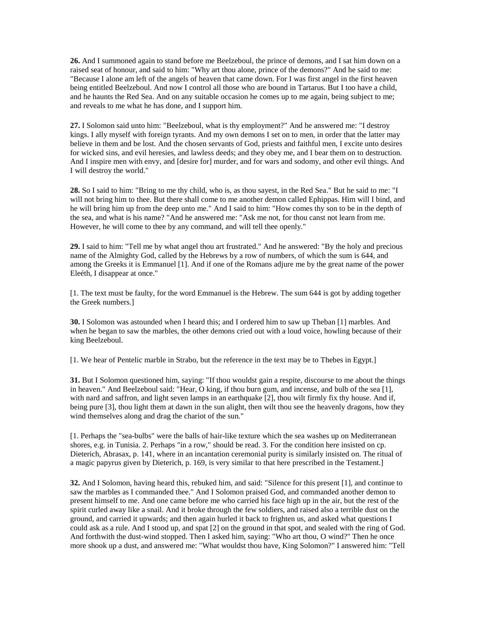**26.** And I summoned again to stand before me Beelzeboul, the prince of demons, and I sat him down on a raised seat of honour, and said to him: "Why art thou alone, prince of the demons?" And he said to me: "Because I alone am left of the angels of heaven that came down. For I was first angel in the first heaven being entitled Beelzeboul. And now I control all those who are bound in Tartarus. But I too have a child, and he haunts the Red Sea. And on any suitable occasion he comes up to me again, being subject to me; and reveals to me what he has done, and I support him.

**27.** I Solomon said unto him: "Beelzeboul, what is thy employment?" And he answered me: "I destroy kings. I ally myself with foreign tyrants. And my own demons I set on to men, in order that the latter may believe in them and be lost. And the chosen servants of God, priests and faithful men, I excite unto desires for wicked sins, and evil heresies, and lawless deeds; and they obey me, and I bear them on to destruction. And I inspire men with envy, and [desire for] murder, and for wars and sodomy, and other evil things. And I will destroy the world."

**28.** So I said to him: "Bring to me thy child, who is, as thou sayest, in the Red Sea." But he said to me: "I will not bring him to thee. But there shall come to me another demon called Ephippas. Him will I bind, and he will bring him up from the deep unto me." And I said to him: "How comes thy son to be in the depth of the sea, and what is his name? "And he answered me: "Ask me not, for thou canst not learn from me. However, he will come to thee by any command, and will tell thee openly."

**29.** I said to him: "Tell me by what angel thou art frustrated." And he answered: "By the holy and precious name of the Almighty God, called by the Hebrews by a row of numbers, of which the sum is 644, and among the Greeks it is Emmanuel [1]. And if one of the Romans adjure me by the great name of the power Eleéth, I disappear at once."

[1. The text must be faulty, for the word Emmanuel is the Hebrew. The sum 644 is got by adding together the Greek numbers.]

**30.** I Solomon was astounded when I heard this; and I ordered him to saw up Theban [1] marbles. And when he began to saw the marbles, the other demons cried out with a loud voice, howling because of their king Beelzeboul.

[1. We hear of Pentelic marble in Strabo, but the reference in the text may be to Thebes in Egypt.]

**31.** But I Solomon questioned him, saying: "If thou wouldst gain a respite, discourse to me about the things in heaven." And Beelzeboul said: "Hear, O king, if thou burn gum, and incense, and bulb of the sea [1], with nard and saffron, and light seven lamps in an earthquake [2], thou wilt firmly fix thy house. And if, being pure [3], thou light them at dawn in the sun alight, then wilt thou see the heavenly dragons, how they wind themselves along and drag the chariot of the sun."

[1. Perhaps the "sea-bulbs" were the balls of hair-like texture which the sea washes up on Mediterranean shores, e.g. in Tunisia. 2. Perhaps "in a row," should be read. 3. For the condition here insisted on cp. Dieterich, Abrasax, p. 141, where in an incantation ceremonial purity is similarly insisted on. The ritual of a magic papyrus given by Dieterich, p. 169, is very similar to that here prescribed in the Testament.]

**32.** And I Solomon, having heard this, rebuked him, and said: "Silence for this present [1], and continue to saw the marbles as I commanded thee." And I Solomon praised God, and commanded another demon to present himself to me. And one came before me who carried his face high up in the air, but the rest of the spirit curled away like a snail. And it broke through the few soldiers, and raised also a terrible dust on the ground, and carried it upwards; and then again hurled it back to frighten us, and asked what questions I could ask as a rule. And I stood up, and spat [2] on the ground in that spot, and sealed with the ring of God. And forthwith the dust-wind stopped. Then I asked him, saying: "Who art thou, O wind?" Then he once more shook up a dust, and answered me: "What wouldst thou have, King Solomon?" I answered him: "Tell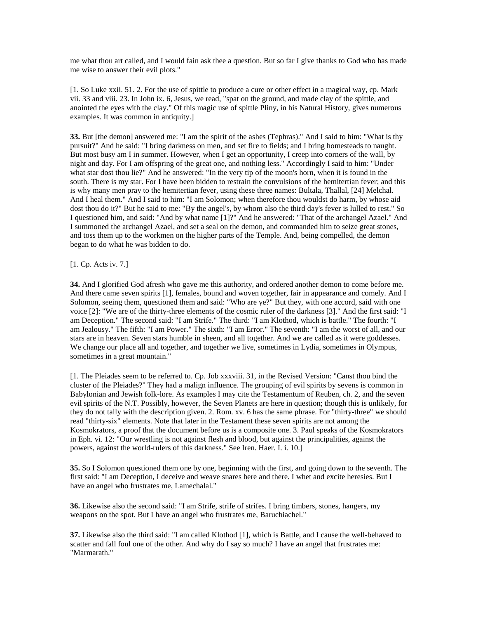me what thou art called, and I would fain ask thee a question. But so far I give thanks to God who has made me wise to answer their evil plots."

[1. So Luke xxii. 51. 2. For the use of spittle to produce a cure or other effect in a magical way, cp. Mark vii. 33 and viii. 23. In John ix. 6, Jesus, we read, "spat on the ground, and made clay of the spittle, and anointed the eyes with the clay." Of this magic use of spittle Pliny, in his Natural History, gives numerous examples. It was common in antiquity.]

**33.** But [the demon] answered me: "I am the spirit of the ashes (Tephras)." And I said to him: "What is thy pursuit?" And he said: "I bring darkness on men, and set fire to fields; and I bring homesteads to naught. But most busy am I in summer. However, when I get an opportunity, I creep into corners of the wall, by night and day. For I am offspring of the great one, and nothing less." Accordingly I said to him: "Under what star dost thou lie?" And he answered: "In the very tip of the moon's horn, when it is found in the south. There is my star. For I have been bidden to restrain the convulsions of the hemitertian fever; and this is why many men pray to the hemitertian fever, using these three names: Bultala, Thallal, [24] Melchal. And I heal them." And I said to him: "I am Solomon; when therefore thou wouldst do harm, by whose aid dost thou do it?" But he said to me: "By the angel's, by whom also the third day's fever is lulled to rest." So I questioned him, and said: "And by what name [1]?" And he answered: "That of the archangel Azael." And I summoned the archangel Azael, and set a seal on the demon, and commanded him to seize great stones, and toss them up to the workmen on the higher parts of the Temple. And, being compelled, the demon began to do what he was bidden to do.

## [1. Cp. Acts iv. 7.]

**34.** And I glorified God afresh who gave me this authority, and ordered another demon to come before me. And there came seven spirits [1], females, bound and woven together, fair in appearance and comely. And I Solomon, seeing them, questioned them and said: "Who are ye?" But they, with one accord, said with one voice [2]: "We are of the thirty-three elements of the cosmic ruler of the darkness [3]." And the first said: "I am Deception." The second said: "I am Strife." The third: "I am Klothod, which is battle." The fourth: "I am Jealousy." The fifth: "I am Power." The sixth: "I am Error." The seventh: "I am the worst of all, and our stars are in heaven. Seven stars humble in sheen, and all together. And we are called as it were goddesses. We change our place all and together, and together we live, sometimes in Lydia, sometimes in Olympus, sometimes in a great mountain."

[1. The Pleiades seem to be referred to. Cp. Job xxxviii. 31, in the Revised Version: "Canst thou bind the cluster of the Pleiades?" They had a malign influence. The grouping of evil spirits by sevens is common in Babylonian and Jewish folk-lore. As examples I may cite the Testamentum of Reuben, ch. 2, and the seven evil spirits of the N.T. Possibly, however, the Seven Planets are here in question; though this is unlikely, for they do not tally with the description given. 2. Rom. xv. 6 has the same phrase. For "thirty-three" we should read "thirty-six" elements. Note that later in the Testament these seven spirits are not among the Kosmokrators, a proof that the document before us is a composite one. 3. Paul speaks of the Kosmokrators in Eph. vi. 12: "Our wrestling is not against flesh and blood, but against the principalities, against the powers, against the world-rulers of this darkness." See Iren. Haer. I. i. 10.]

**35.** So I Solomon questioned them one by one, beginning with the first, and going down to the seventh. The first said: "I am Deception, I deceive and weave snares here and there. I whet and excite heresies. But I have an angel who frustrates me, Lamechalal."

**36.** Likewise also the second said: "I am Strife, strife of strifes. I bring timbers, stones, hangers, my weapons on the spot. But I have an angel who frustrates me, Baruchiachel."

**37.** Likewise also the third said: "I am called Klothod [1], which is Battle, and I cause the well-behaved to scatter and fall foul one of the other. And why do I say so much? I have an angel that frustrates me: "Marmarath."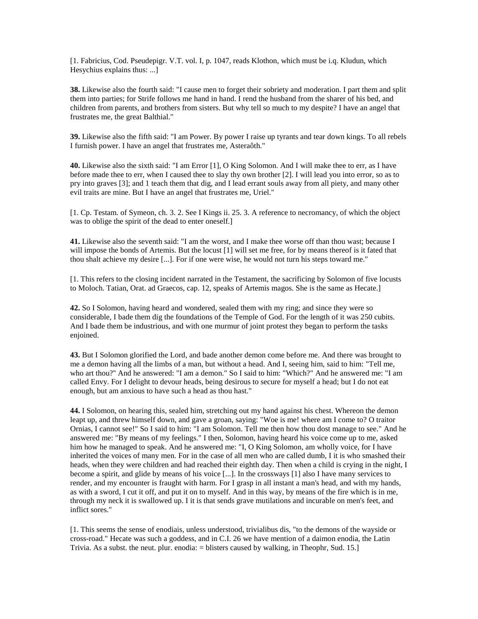[1. Fabricius, Cod. Pseudepigr. V.T. vol. I, p. 1047, reads Klothon, which must be i.q. Kludun, which Hesychius explains thus: ...]

**38.** Likewise also the fourth said: "I cause men to forget their sobriety and moderation. I part them and split them into parties; for Strife follows me hand in hand. I rend the husband from the sharer of his bed, and children from parents, and brothers from sisters. But why tell so much to my despite? I have an angel that frustrates me, the great Balthial."

**39.** Likewise also the fifth said: "I am Power. By power I raise up tyrants and tear down kings. To all rebels I furnish power. I have an angel that frustrates me, Asteraôth."

**40.** Likewise also the sixth said: "I am Error [1], O King Solomon. And I will make thee to err, as I have before made thee to err, when I caused thee to slay thy own brother [2]. I will lead you into error, so as to pry into graves [3]; and 1 teach them that dig, and I lead errant souls away from all piety, and many other evil traits are mine. But I have an angel that frustrates me, Uriel."

[1. Cp. Testam. of Symeon, ch. 3. 2. See I Kings ii. 25. 3. A reference to necromancy, of which the object was to oblige the spirit of the dead to enter oneself.]

**41.** Likewise also the seventh said: "I am the worst, and I make thee worse off than thou wast; because I will impose the bonds of Artemis. But the locust [1] will set me free, for by means thereof is it fated that thou shalt achieve my desire [...]. For if one were wise, he would not turn his steps toward me."

[1. This refers to the closing incident narrated in the Testament, the sacrificing by Solomon of five locusts to Moloch. Tatian, Orat. ad Graecos, cap. 12, speaks of Artemis magos. She is the same as Hecate.]

**42.** So I Solomon, having heard and wondered, sealed them with my ring; and since they were so considerable, I bade them dig the foundations of the Temple of God. For the length of it was 250 cubits. And I bade them be industrious, and with one murmur of joint protest they began to perform the tasks enjoined.

**43.** But I Solomon glorified the Lord, and bade another demon come before me. And there was brought to me a demon having all the limbs of a man, but without a head. And I, seeing him, said to him: "Tell me, who art thou?'' And he answered: "I am a demon." So I said to him: "Which?" And he answered me: "I am called Envy. For I delight to devour heads, being desirous to secure for myself a head; but I do not eat enough, but am anxious to have such a head as thou hast."

**44.** I Solomon, on hearing this, sealed him, stretching out my hand against his chest. Whereon the demon leapt up, and threw himself down, and gave a groan, saying: "Woe is me! where am I come to? O traitor Ornias, I cannot see!" So I said to him: "I am Solomon. Tell me then how thou dost manage to see." And he answered me: "By means of my feelings." I then, Solomon, having heard his voice come up to me, asked him how he managed to speak. And he answered me: "I, O King Solomon, am wholly voice, for I have inherited the voices of many men. For in the case of all men who are called dumb, I it is who smashed their heads, when they were children and had reached their eighth day. Then when a child is crying in the night, I become a spirit, and glide by means of his voice [...]. In the crossways [1] also I have many services to render, and my encounter is fraught with harm. For I grasp in all instant a man's head, and with my hands, as with a sword, I cut it off, and put it on to myself. And in this way, by means of the fire which is in me, through my neck it is swallowed up. I it is that sends grave mutilations and incurable on men's feet, and inflict sores."

[1. This seems the sense of enodiais, unless understood, trivialibus dis, "to the demons of the wayside or cross-road." Hecate was such a goddess, and in C.I. 26 we have mention of a daimon enodia, the Latin Trivia. As a subst. the neut. plur. enodia: = blisters caused by walking, in Theophr, Sud. 15.]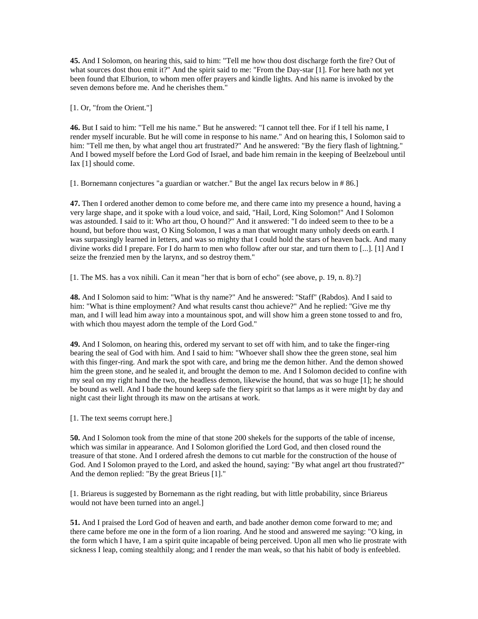**45.** And I Solomon, on hearing this, said to him: "Tell me how thou dost discharge forth the fire? Out of what sources dost thou emit it?" And the spirit said to me: "From the Day-star [1]. For here hath not yet been found that Elburion, to whom men offer prayers and kindle lights. And his name is invoked by the seven demons before me. And he cherishes them."

[1. Or, "from the Orient."]

**46.** But I said to him: "Tell me his name." But he answered: "I cannot tell thee. For if I tell his name, I render myself incurable. But he will come in response to his name." And on hearing this, I Solomon said to him: "Tell me then, by what angel thou art frustrated?" And he answered: "By the fiery flash of lightning." And I bowed myself before the Lord God of Israel, and bade him remain in the keeping of Beelzeboul until Iax [1] should come.

[1. Bornemann conjectures "a guardian or watcher." But the angel Iax recurs below in # 86.]

**47.** Then I ordered another demon to come before me, and there came into my presence a hound, having a very large shape, and it spoke with a loud voice, and said, "Hail, Lord, King Solomon!" And I Solomon was astounded. I said to it: Who art thou, O hound?" And it answered: "I do indeed seem to thee to be a hound, but before thou wast, O King Solomon, I was a man that wrought many unholy deeds on earth. I was surpassingly learned in letters, and was so mighty that I could hold the stars of heaven back. And many divine works did I prepare. For I do harm to men who follow after our star, and turn them to [...]. [1] And I seize the frenzied men by the larynx, and so destroy them."

[1. The MS. has a vox nihili. Can it mean "her that is born of echo" (see above, p. 19, n. 8).?]

**48.** And I Solomon said to him: "What is thy name?" And he answered: ''Staff" (Rabdos). And I said to him: "What is thine employment? And what results canst thou achieve?" And he replied: ''Give me thy man, and I will lead him away into a mountainous spot, and will show him a green stone tossed to and fro, with which thou mayest adorn the temple of the Lord God."

**49.** And I Solomon, on hearing this, ordered my servant to set off with him, and to take the finger-ring bearing the seal of God with him. And I said to him: "Whoever shall show thee the green stone, seal him with this finger-ring. And mark the spot with care, and bring me the demon hither. And the demon showed him the green stone, and he sealed it, and brought the demon to me. And I Solomon decided to confine with my seal on my right hand the two, the headless demon, likewise the hound, that was so huge [1]; he should be bound as well. And I bade the hound keep safe the fiery spirit so that lamps as it were might by day and night cast their light through its maw on the artisans at work.

[1. The text seems corrupt here.]

**50.** And I Solomon took from the mine of that stone 200 shekels for the supports of the table of incense, which was similar in appearance. And I Solomon glorified the Lord God, and then closed round the treasure of that stone. And I ordered afresh the demons to cut marble for the construction of the house of God. And I Solomon prayed to the Lord, and asked the hound, saying: "By what angel art thou frustrated?" And the demon replied: "By the great Brieus [1]."

[1. Briareus is suggested by Bornemann as the right reading, but with little probability, since Briareus would not have been turned into an angel.]

**51.** And I praised the Lord God of heaven and earth, and bade another demon come forward to me; and there came before me one in the form of a lion roaring. And he stood and answered me saying: "O king, in the form which I have, I am a spirit quite incapable of being perceived. Upon all men who lie prostrate with sickness I leap, coming stealthily along; and I render the man weak, so that his habit of body is enfeebled.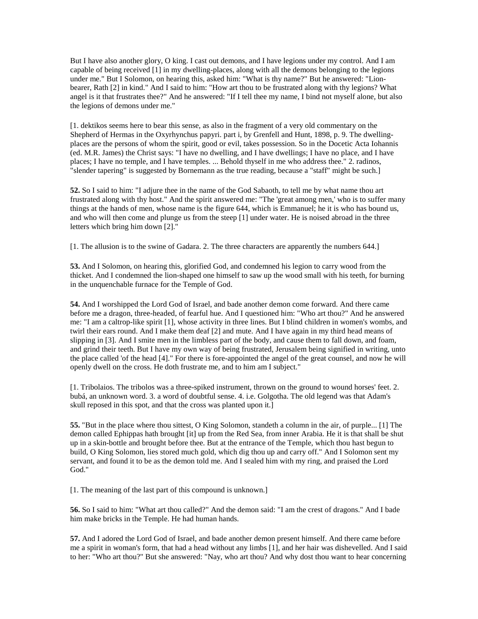But I have also another glory, O king. I cast out demons, and I have legions under my control. And I am capable of being received [1] in my dwelling-places, along with all the demons belonging to the legions under me." But I Solomon, on hearing this, asked him: "What is thy name?" But he answered: "Lionbearer, Rath [2] in kind." And I said to him: "How art thou to be frustrated along with thy legions? What angel is it that frustrates thee?" And he answered: "If I tell thee my name, I bind not myself alone, but also the legions of demons under me."

[1. dektikos seems here to bear this sense, as also in the fragment of a very old commentary on the Shepherd of Hermas in the Oxyrhynchus papyri. part i, by Grenfell and Hunt, 1898, p. 9. The dwellingplaces are the persons of whom the spirit, good or evil, takes possession. So in the Docetic Acta Iohannis (ed. M.R. James) the Christ says: "I have no dwelling, and I have dwellings; I have no place, and I have places; I have no temple, and I have temples. ... Behold thyself in me who address thee." 2. radinos, "slender tapering" is suggested by Bornemann as the true reading, because a "staff" might be such.]

**52.** So I said to him: "I adjure thee in the name of the God Sabaoth, to tell me by what name thou art frustrated along with thy host." And the spirit answered me: "The 'great among men,' who is to suffer many things at the hands of men, whose name is the figure 644, which is Emmanuel; he it is who has bound us, and who will then come and plunge us from the steep [1] under water. He is noised abroad in the three letters which bring him down [2]."

[1. The allusion is to the swine of Gadara. 2. The three characters are apparently the numbers 644.]

**53.** And I Solomon, on hearing this, glorified God, and condemned his legion to carry wood from the thicket. And I condemned the lion-shaped one himself to saw up the wood small with his teeth, for burning in the unquenchable furnace for the Temple of God.

**54.** And I worshipped the Lord God of Israel, and bade another demon come forward. And there came before me a dragon, three-headed, of fearful hue. And I questioned him: "Who art thou?" And he answered me: "I am a caltrop-like spirit [1], whose activity in three lines. But I blind children in women's wombs, and twirl their ears round. And I make them deaf [2] and mute. And I have again in my third head means of slipping in [3]. And I smite men in the limbless part of the body, and cause them to fall down, and foam, and grind their teeth. But I have my own way of being frustrated, Jerusalem being signified in writing, unto the place called 'of the head [4]." For there is fore-appointed the angel of the great counsel, and now he will openly dwell on the cross. He doth frustrate me, and to him am I subject."

[1. Tribolaios. The tribolos was a three-spiked instrument, thrown on the ground to wound horses' feet. 2. bubá, an unknown word. 3. a word of doubtful sense. 4. i.e. Golgotha. The old legend was that Adam's skull reposed in this spot, and that the cross was planted upon it.]

**55.** "But in the place where thou sittest, O King Solomon, standeth a column in the air, of purple... [1] The demon called Ephippas hath brought [it] up from the Red Sea, from inner Arabia. He it is that shall be shut up in a skin-bottle and brought before thee. But at the entrance of the Temple, which thou hast begun to build, O King Solomon, lies stored much gold, which dig thou up and carry off." And I Solomon sent my servant, and found it to be as the demon told me. And I sealed him with my ring, and praised the Lord God."

[1. The meaning of the last part of this compound is unknown.]

**56.** So I said to him: "What art thou called?" And the demon said: "I am the crest of dragons." And I bade him make bricks in the Temple. He had human hands.

**57.** And I adored the Lord God of Israel, and bade another demon present himself. And there came before me a spirit in woman's form, that had a head without any limbs [1], and her hair was dishevelled. And I said to her: "Who art thou?" But she answered: "Nay, who art thou? And why dost thou want to hear concerning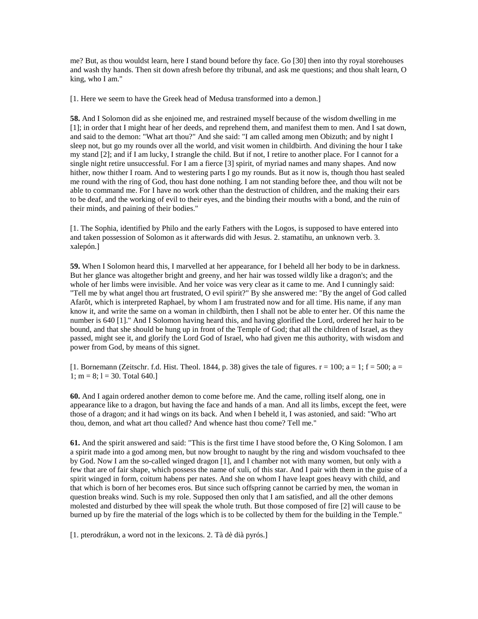me? But, as thou wouldst learn, here I stand bound before thy face. Go [30] then into thy royal storehouses and wash thy hands. Then sit down afresh before thy tribunal, and ask me questions; and thou shalt learn, O king, who I am."

[1. Here we seem to have the Greek head of Medusa transformed into a demon.]

**58.** And I Solomon did as she enjoined me, and restrained myself because of the wisdom dwelling in me [1]; in order that I might hear of her deeds, and reprehend them, and manifest them to men. And I sat down, and said to the demon: "What art thou?" And she said: "I am called among men Obizuth; and by night I sleep not, but go my rounds over all the world, and visit women in childbirth. And divining the hour I take my stand [2]; and if I am lucky, I strangle the child. But if not, I retire to another place. For I cannot for a single night retire unsuccessful. For I am a fierce [3] spirit, of myriad names and many shapes. And now hither, now thither I roam. And to westering parts I go my rounds. But as it now is, though thou hast sealed me round with the ring of God, thou hast done nothing. I am not standing before thee, and thou wilt not be able to command me. For I have no work other than the destruction of children, and the making their ears to be deaf, and the working of evil to their eyes, and the binding their mouths with a bond, and the ruin of their minds, and paining of their bodies."

[1. The Sophia, identified by Philo and the early Fathers with the Logos, is supposed to have entered into and taken possession of Solomon as it afterwards did with Jesus. 2. stamatihu, an unknown verb. 3. xalepón.]

**59.** When I Solomon heard this, I marvelled at her appearance, for I beheld all her body to be in darkness. But her glance was altogether bright and greeny, and her hair was tossed wildly like a dragon's; and the whole of her limbs were invisible. And her voice was very clear as it came to me. And I cunningly said: "Tell me by what angel thou art frustrated, O evil spirit?" By she answered me: "By the angel of God called Afarôt, which is interpreted Raphael, by whom I am frustrated now and for all time. His name, if any man know it, and write the same on a woman in childbirth, then I shall not be able to enter her. Of this name the number is 640 [1]." And I Solomon having heard this, and having glorified the Lord, ordered her hair to be bound, and that she should be hung up in front of the Temple of God; that all the children of Israel, as they passed, might see it, and glorify the Lord God of Israel, who had given me this authority, with wisdom and power from God, by means of this signet.

[1. Bornemann (Zeitschr. f.d. Hist. Theol. 1844, p. 38) gives the tale of figures.  $r = 100$ ;  $a = 1$ ;  $f = 500$ ;  $a =$  $1; m = 8; l = 30.$  Total 640.]

**60.** And I again ordered another demon to come before me. And the came, rolling itself along, one in appearance like to a dragon, but having the face and hands of a man. And all its limbs, except the feet, were those of a dragon; and it had wings on its back. And when I beheld it, I was astonied, and said: "Who art thou, demon, and what art thou called? And whence hast thou come? Tell me."

**61.** And the spirit answered and said: "This is the first time I have stood before the, O King Solomon. I am a spirit made into a god among men, but now brought to naught by the ring and wisdom vouchsafed to thee by God. Now I am the so-called winged dragon [1], and I chamber not with many women, but only with a few that are of fair shape, which possess the name of xuli, of this star. And I pair with them in the guise of a spirit winged in form, coitum habens per nates. And she on whom I have leapt goes heavy with child, and that which is born of her becomes eros. But since such offspring cannot be carried by men, the woman in question breaks wind. Such is my role. Supposed then only that I am satisfied, and all the other demons molested and disturbed by thee will speak the whole truth. But those composed of fire [2] will cause to be burned up by fire the material of the logs which is to be collected by them for the building in the Temple."

[1. pterodrákun, a word not in the lexicons. 2. Tà dè dià pyrós.]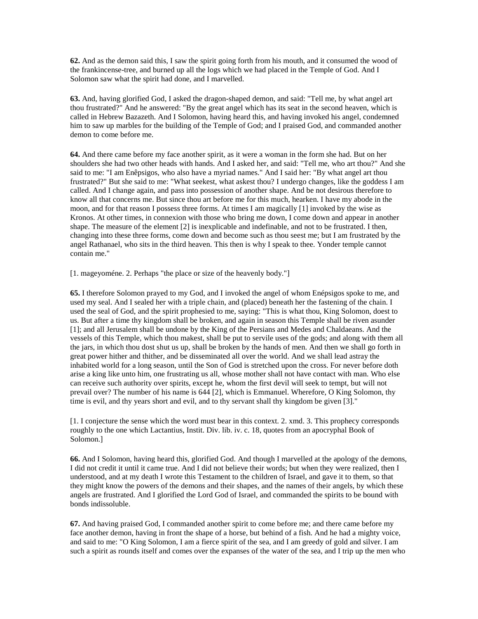**62.** And as the demon said this, I saw the spirit going forth from his mouth, and it consumed the wood of the frankincense-tree, and burned up all the logs which we had placed in the Temple of God. And I Solomon saw what the spirit had done, and I marvelled.

**63.** And, having glorified God, I asked the dragon-shaped demon, and said: "Tell me, by what angel art thou frustrated?" And he answered: "By the great angel which has its seat in the second heaven, which is called in Hebrew Bazazeth. And I Solomon, having heard this, and having invoked his angel, condemned him to saw up marbles for the building of the Temple of God; and I praised God, and commanded another demon to come before me.

**64.** And there came before my face another spirit, as it were a woman in the form she had. But on her shoulders she had two other heads with hands. And I asked her, and said: "Tell me, who art thou?" And she said to me: "I am Enêpsigos, who also have a myriad names." And I said her: "By what angel art thou frustrated?" But she said to me: "What seekest, what askest thou? I undergo changes, like the goddess I am called. And I change again, and pass into possession of another shape. And be not desirous therefore to know all that concerns me. But since thou art before me for this much, hearken. I have my abode in the moon, and for that reason I possess three forms. At times I am magically [1] invoked by the wise as Kronos. At other times, in connexion with those who bring me down, I come down and appear in another shape. The measure of the element [2] is inexplicable and indefinable, and not to be frustrated. I then, changing into these three forms, come down and become such as thou seest me; but I am frustrated by the angel Rathanael, who sits in the third heaven. This then is why I speak to thee. Yonder temple cannot contain me."

[1. mageyoméne. 2. Perhaps "the place or size of the heavenly body."]

**65.** I therefore Solomon prayed to my God, and I invoked the angel of whom Enépsigos spoke to me, and used my seal. And I sealed her with a triple chain, and (placed) beneath her the fastening of the chain. I used the seal of God, and the spirit prophesied to me, saying: "This is what thou, King Solomon, doest to us. But after a time thy kingdom shall be broken, and again in season this Temple shall be riven asunder [1]; and all Jerusalem shall be undone by the King of the Persians and Medes and Chaldaeans. And the vessels of this Temple, which thou makest, shall be put to servile uses of the gods; and along with them all the jars, in which thou dost shut us up, shall be broken by the hands of men. And then we shall go forth in great power hither and thither, and be disseminated all over the world. And we shall lead astray the inhabited world for a long season, until the Son of God is stretched upon the cross. For never before doth arise a king like unto him, one frustrating us all, whose mother shall not have contact with man. Who else can receive such authority over spirits, except he, whom the first devil will seek to tempt, but will not prevail over? The number of his name is 644 [2], which is Emmanuel. Wherefore, O King Solomon, thy time is evil, and thy years short and evil, and to thy servant shall thy kingdom be given [3]."

[1. I conjecture the sense which the word must bear in this context. 2. xmd. 3. This prophecy corresponds roughly to the one which Lactantius, Instit. Div. lib. iv. c. 18, quotes from an apocryphal Book of Solomon.]

**66.** And I Solomon, having heard this, glorified God. And though I marvelled at the apology of the demons, I did not credit it until it came true. And I did not believe their words; but when they were realized, then I understood, and at my death I wrote this Testament to the children of Israel, and gave it to them, so that they might know the powers of the demons and their shapes, and the names of their angels, by which these angels are frustrated. And I glorified the Lord God of Israel, and commanded the spirits to be bound with bonds indissoluble.

**67.** And having praised God, I commanded another spirit to come before me; and there came before my face another demon, having in front the shape of a horse, but behind of a fish. And he had a mighty voice, and said to me: "O King Solomon, I am a fierce spirit of the sea, and I am greedy of gold and silver. I am such a spirit as rounds itself and comes over the expanses of the water of the sea, and I trip up the men who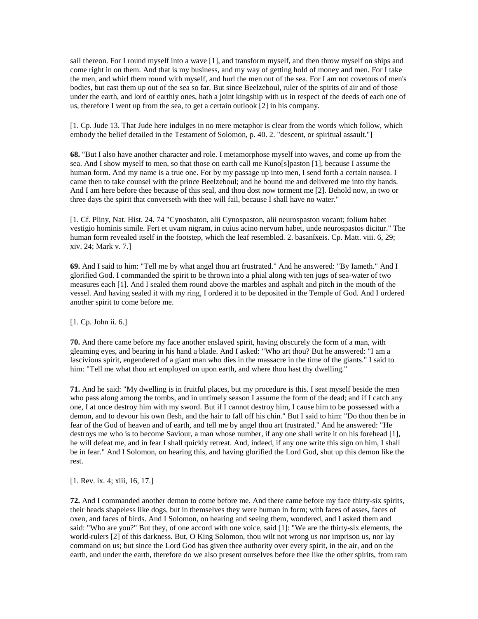sail thereon. For I round myself into a wave [1], and transform myself, and then throw myself on ships and come right in on them. And that is my business, and my way of getting hold of money and men. For I take the men, and whirl them round with myself, and hurl the men out of the sea. For I am not covetous of men's bodies, but cast them up out of the sea so far. But since Beelzeboul, ruler of the spirits of air and of those under the earth, and lord of earthly ones, hath a joint kingship with us in respect of the deeds of each one of us, therefore I went up from the sea, to get a certain outlook [2] in his company.

[1. Cp. Jude 13. That Jude here indulges in no mere metaphor is clear from the words which follow, which embody the belief detailed in the Testament of Solomon, p. 40. 2. "descent, or spiritual assault."]

**68.** "But I also have another character and role. I metamorphose myself into waves, and come up from the sea. And I show myself to men, so that those on earth call me Kuno[s]paston [1], because I assume the human form. And my name is a true one. For by my passage up into men, I send forth a certain nausea. I came then to take counsel with the prince Beelzeboul; and he bound me and delivered me into thy hands. And I am here before thee because of this seal, and thou dost now torment me [2]. Behold now, in two or three days the spirit that converseth with thee will fail, because I shall have no water."

[1. Cf. Pliny, Nat. Hist. 24. 74 "Cynosbaton, alii Cynospaston, alii neurospaston vocant; folium habet vestigio hominis simile. Fert et uvam nigram, in cuius acino nervum habet, unde neurospastos dicitur." The human form revealed itself in the footstep, which the leaf resembled. 2. basaníxeis. Cp. Matt. viii. 6, 29; xiv. 24; Mark v. 7.]

**69.** And I said to him: "Tell me by what angel thou art frustrated." And he answered: "By Iameth." And I glorified God. I commanded the spirit to be thrown into a phial along with ten jugs of sea-water of two measures each [1]. And I sealed them round above the marbles and asphalt and pitch in the mouth of the vessel. And having sealed it with my ring, I ordered it to be deposited in the Temple of God. And I ordered another spirit to come before me.

[1. Cp. John ii. 6.]

**70.** And there came before my face another enslaved spirit, having obscurely the form of a man, with gleaming eyes, and bearing in his hand a blade. And I asked: "Who art thou? But he answered: "I am a lascivious spirit, engendered of a giant man who dies in the massacre in the time of the giants." I said to him: "Tell me what thou art employed on upon earth, and where thou hast thy dwelling."

**71.** And he said: "My dwelling is in fruitful places, but my procedure is this. I seat myself beside the men who pass along among the tombs, and in untimely season I assume the form of the dead; and if I catch any one, I at once destroy him with my sword. But if I cannot destroy him, I cause him to be possessed with a demon, and to devour his own flesh, and the hair to fall off his chin." But I said to him: "Do thou then be in fear of the God of heaven and of earth, and tell me by angel thou art frustrated." And he answered: "He destroys me who is to become Saviour, a man whose number, if any one shall write it on his forehead [1], he will defeat me, and in fear I shall quickly retreat. And, indeed, if any one write this sign on him, I shall be in fear." And I Solomon, on hearing this, and having glorified the Lord God, shut up this demon like the rest.

[1. Rev. ix. 4; xiii, 16, 17.]

**72.** And I commanded another demon to come before me. And there came before my face thirty-six spirits, their heads shapeless like dogs, but in themselves they were human in form; with faces of asses, faces of oxen, and faces of birds. And I Solomon, on hearing and seeing them, wondered, and I asked them and said: "Who are you?" But they, of one accord with one voice, said [1]: "We are the thirty-six elements, the world-rulers [2] of this darkness. But, O King Solomon, thou wilt not wrong us nor imprison us, nor lay command on us; but since the Lord God has given thee authority over every spirit, in the air, and on the earth, and under the earth, therefore do we also present ourselves before thee like the other spirits, from ram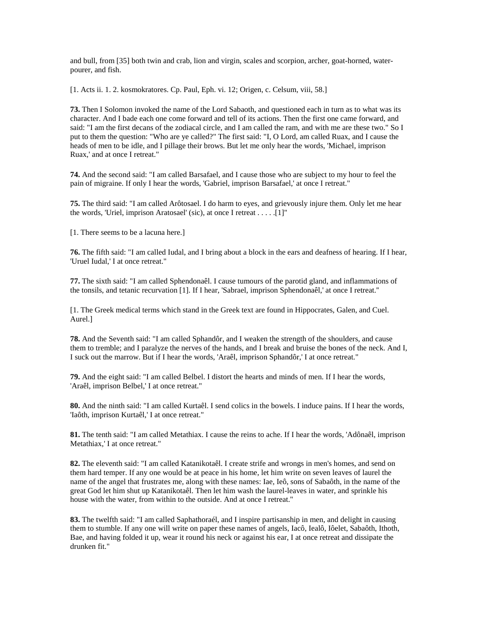and bull, from [35] both twin and crab, lion and virgin, scales and scorpion, archer, goat-horned, waterpourer, and fish.

[1. Acts ii. 1. 2. kosmokratores. Cp. Paul, Eph. vi. 12; Origen, c. Celsum, viii, 58.]

**73.** Then I Solomon invoked the name of the Lord Sabaoth, and questioned each in turn as to what was its character. And I bade each one come forward and tell of its actions. Then the first one came forward, and said: "I am the first decans of the zodiacal circle, and I am called the ram, and with me are these two." So I put to them the question: "Who are ye called?" The first said: "I, O Lord, am called Ruax, and I cause the heads of men to be idle, and I pillage their brows. But let me only hear the words, 'Michael, imprison Ruax,' and at once I retreat."

**74.** And the second said: "I am called Barsafael, and I cause those who are subject to my hour to feel the pain of migraine. If only I hear the words, 'Gabriel, imprison Barsafael,' at once I retreat."

**75.** The third said: "I am called Arôtosael. I do harm to eyes, and grievously injure them. Only let me hear the words, 'Uriel, imprison Aratosael' (sic), at once I retreat . . . . .[1]"

[1. There seems to be a lacuna here.]

**76.** The fifth said: "I am called Iudal, and I bring about a block in the ears and deafness of hearing. If I hear, 'Uruel Iudal,' I at once retreat."

**77.** The sixth said: "I am called Sphendonaêl. I cause tumours of the parotid gland, and inflammations of the tonsils, and tetanic recurvation [1]. If I hear, 'Sabrael, imprison Sphendonaêl,' at once I retreat.''

[1. The Greek medical terms which stand in the Greek text are found in Hippocrates, Galen, and Cuel. Aurel.]

**78.** And the Seventh said: "I am called Sphandôr, and I weaken the strength of the shoulders, and cause them to tremble; and I paralyze the nerves of the hands, and I break and bruise the bones of the neck. And I, I suck out the marrow. But if I hear the words, 'Araêl, imprison Sphandôr,' I at once retreat."

**79.** And the eight said: "I am called Belbel. I distort the hearts and minds of men. If I hear the words, 'Araêl, imprison Belbel,' I at once retreat."

**80.** And the ninth said: "I am called Kurtaêl. I send colics in the bowels. I induce pains. If I hear the words, 'Iaôth, imprison Kurtaêl,' I at once retreat."

**81.** The tenth said: "I am called Metathiax. I cause the reins to ache. If I hear the words, 'Adônaêl, imprison Metathiax,' I at once retreat."

**82.** The eleventh said: "I am called Katanikotaêl. I create strife and wrongs in men's homes, and send on them hard temper. If any one would be at peace in his home, let him write on seven leaves of laurel the name of the angel that frustrates me, along with these names: Iae, Ieô, sons of Sabaôth, in the name of the great God let him shut up Katanikotaêl. Then let him wash the laurel-leaves in water, and sprinkle his house with the water, from within to the outside. And at once I retreat."

**83.** The twelfth said: "I am called Saphathoraél, and I inspire partisanship in men, and delight in causing them to stumble. If any one will write on paper these names of angels, Iacô, Iealô, Iôelet, Sabaôth, Ithoth, Bae, and having folded it up, wear it round his neck or against his ear, I at once retreat and dissipate the drunken fit."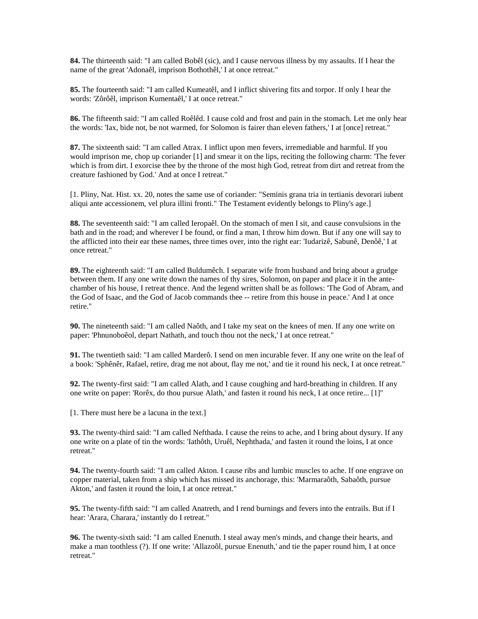**84.** The thirteenth said: "I am called Bobêl (sic), and I cause nervous illness by my assaults. If I hear the name of the great 'Adonaêl, imprison Bothothêl,' I at once retreat."

**85.** The fourteenth said: "I am called Kumeatêl, and I inflict shivering fits and torpor. If only I hear the words: 'Zôrôêl, imprison Kumentaêl,' I at once retreat."

**86.** The fifteenth said: "I am called Roêlêd. I cause cold and frost and pain in the stomach. Let me only hear the words: 'Iax, bide not, be not warmed, for Solomon is fairer than eleven fathers,' I at [once] retreat."

**87.** The sixteenth said: "I am called Atrax. I inflict upon men fevers, irremediable and harmful. If you would imprison me, chop up coriander [1] and smear it on the lips, reciting the following charm: 'The fever which is from dirt. I exorcise thee by the throne of the most high God, retreat from dirt and retreat from the creature fashioned by God.' And at once I retreat."

[1. Pliny, Nat. Hist. xx. 20, notes the same use of coriander: "Seminis grana tria in tertianis devorari iubent aliqui ante accessionem, vel plura illini fronti." The Testament evidently belongs to Pliny's age.]

**88.** The seventeenth said: "I am called Ieropaêl. On the stomach of men I sit, and cause convulsions in the bath and in the road; and wherever I be found, or find a man, I throw him down. But if any one will say to the afflicted into their ear these names, three times over, into the right ear: 'Iudarizê, Sabunê, Denôê,' I at once retreat."

**89.** The eighteenth said: "I am called Buldumêch. I separate wife from husband and bring about a grudge between them. If any one write down the names of thy sires, Solomon, on paper and place it in the antechamber of his house, I retreat thence. And the legend written shall be as follows: 'The God of Abram, and the God of Isaac, and the God of Jacob commands thee -- retire from this house in peace.' And I at once retire."

**90.** The nineteenth said: "I am called Naôth, and I take my seat on the knees of men. If any one write on paper: 'Phnunoboêol, depart Nathath, and touch thou not the neck,' I at once retreat."

**91.** The twentieth said: "I am called Marderô. I send on men incurable fever. If any one write on the leaf of a book: 'Sphênêr, Rafael, retire, drag me not about, flay me not,' and tie it round his neck, I at once retreat."

**92.** The twenty-first said: "I am called Alath, and I cause coughing and hard-breathing in children. If any one write on paper: 'Rorêx, do thou pursue Alath,' and fasten it round his neck, I at once retire... [1]"

[1. There must here be a lacuna in the text.]

**93.** The twenty-third said: "I am called Nefthada. I cause the reins to ache, and I bring about dysury. If any one write on a plate of tin the words: 'Iathôth, Uruêl, Nephthada,' and fasten it round the loins, I at once retreat."

**94.** The twenty-fourth said: "I am called Akton. I cause ribs and lumbic muscles to ache. If one engrave on copper material, taken from a ship which has missed its anchorage, this: 'Marmaraôth, Sabaôth, pursue Akton,' and fasten it round the loin, I at once retreat."

**95.** The twenty-fifth said: "I am called Anatreth, and I rend burnings and fevers into the entrails. But if I hear: 'Arara, Charara,' instantly do I retreat."

**96.** The twenty-sixth said: "I am called Enenuth. I steal away men's minds, and change their hearts, and make a man toothless (?). If one write: 'Allazoôl, pursue Enenuth,' and tie the paper round him, I at once retreat."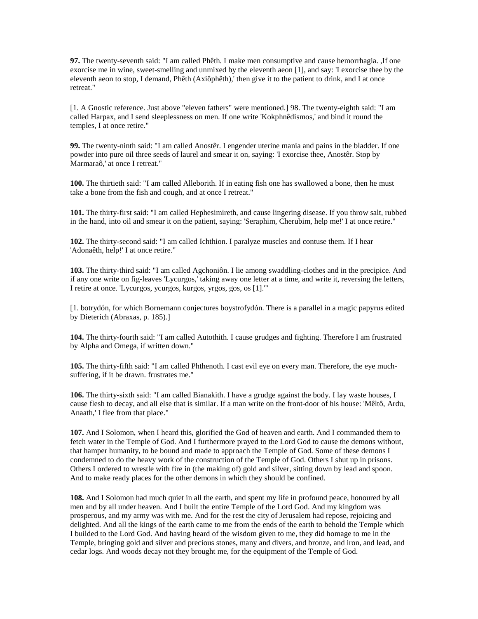**97.** The twenty-seventh said: "I am called Phêth. I make men consumptive and cause hemorrhagia. ,If one exorcise me in wine, sweet-smelling and unmixed by the eleventh aeon [1], and say: 'I exorcise thee by the eleventh aeon to stop, I demand, Phêth (Axiôphêth),' then give it to the patient to drink, and I at once retreat."

[1. A Gnostic reference. Just above "eleven fathers" were mentioned.] 98. The twenty-eighth said: "I am called Harpax, and I send sleeplessness on men. If one write 'Kokphnêdismos,' and bind it round the temples, I at once retire."

**99.** The twenty-ninth said: "I am called Anostêr. I engender uterine mania and pains in the bladder. If one powder into pure oil three seeds of laurel and smear it on, saying: 'I exorcise thee, Anostêr. Stop by Marmaraô,' at once I retreat."

**100.** The thirtieth said: "I am called Alleborith. If in eating fish one has swallowed a bone, then he must take a bone from the fish and cough, and at once I retreat."

**101.** The thirty-first said: "I am called Hephesimireth, and cause lingering disease. If you throw salt, rubbed in the hand, into oil and smear it on the patient, saying: 'Seraphim, Cherubim, help me!' I at once retire."

**102.** The thirty-second said: "I am called Ichthion. I paralyze muscles and contuse them. If I hear 'Adonaêth, help!' I at once retire."

**103.** The thirty-third said: "I am called Agchoniôn. I lie among swaddling-clothes and in the precipice. And if any one write on fig-leaves 'Lycurgos,' taking away one letter at a time, and write it, reversing the letters, I retire at once. 'Lycurgos, ycurgos, kurgos, yrgos, gos, os [1].'"

[1. botrydón, for which Bornemann conjectures boystrofydón. There is a parallel in a magic papyrus edited by Dieterich (Abraxas, p. 185).]

**104.** The thirty-fourth said: "I am called Autothith. I cause grudges and fighting. Therefore I am frustrated by Alpha and Omega, if written down."

**105.** The thirty-fifth said: "I am called Phthenoth. I cast evil eye on every man. Therefore, the eye muchsuffering, if it be drawn. frustrates me."

**106.** The thirty-sixth said: "I am called Bianakith. I have a grudge against the body. I lay waste houses, I cause flesh to decay, and all else that is similar. If a man write on the front-door of his house: 'Mêltô, Ardu, Anaath,' I flee from that place."

**107.** And I Solomon, when I heard this, glorified the God of heaven and earth. And I commanded them to fetch water in the Temple of God. And I furthermore prayed to the Lord God to cause the demons without, that hamper humanity, to be bound and made to approach the Temple of God. Some of these demons I condemned to do the heavy work of the construction of the Temple of God. Others I shut up in prisons. Others I ordered to wrestle with fire in (the making of) gold and silver, sitting down by lead and spoon. And to make ready places for the other demons in which they should be confined.

**108.** And I Solomon had much quiet in all the earth, and spent my life in profound peace, honoured by all men and by all under heaven. And I built the entire Temple of the Lord God. And my kingdom was prosperous, and my army was with me. And for the rest the city of Jerusalem had repose, rejoicing and delighted. And all the kings of the earth came to me from the ends of the earth to behold the Temple which I builded to the Lord God. And having heard of the wisdom given to me, they did homage to me in the Temple, bringing gold and silver and precious stones, many and divers, and bronze, and iron, and lead, and cedar logs. And woods decay not they brought me, for the equipment of the Temple of God.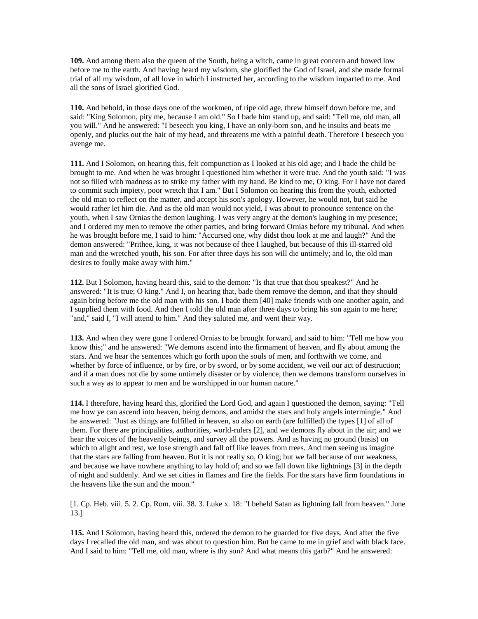**109.** And among them also the queen of the South, being a witch, came in great concern and bowed low before me to the earth. And having heard my wisdom, she glorified the God of Israel, and she made formal trial of all my wisdom, of all love in which I instructed her, according to the wisdom imparted to me. And all the sons of Israel glorified God.

**110.** And behold, in those days one of the workmen, of ripe old age, threw himself down before me, and said: "King Solomon, pity me, because I am old." So I bade him stand up, and said: "Tell me, old man, all you will." And he answered: "I beseech you king, I have an only-born son, and he insults and beats me openly, and plucks out the hair of my head, and threatens me with a painful death. Therefore I beseech you avenge me.

**111.** And I Solomon, on hearing this, felt compunction as I looked at his old age; and I bade the child be brought to me. And when he was brought I questioned him whether it were true. And the youth said: "I was not so filled with madness as to strike my father with my hand. Be kind to me, O king. For I have not dared to commit such impiety, poor wretch that I am." But I Solomon on hearing this from the youth, exhorted the old man to reflect on the matter, and accept his son's apology. However, he would not, but said he would rather let him die. And as the old man would not yield, I was about to pronounce sentence on the youth, when I saw Ornias the demon laughing. I was very angry at the demon's laughing in my presence; and I ordered my men to remove the other parties, and bring forward Ornias before my tribunal. And when he was brought before me, I said to him: "Accursed one, why didst thou look at me and laugh?" And the demon answered: "Prithee, king, it was not because of thee I laughed, but because of this ill-starred old man and the wretched youth, his son. For after three days his son will die untimely; and lo, the old man desires to foully make away with him."

**112.** But I Solomon, having heard this, said to the demon: "Is that true that thou speakest?" And he answered: "It is true; O king." And I, on hearing that, bade them remove the demon, and that they should again bring before me the old man with his son. I bade them [40] make friends with one another again, and I supplied them with food. And then I told the old man after three days to bring his son again to me here; "and," said I, "I will attend to him." And they saluted me, and went their way.

**113.** And when they were gone I ordered Ornias to be brought forward, and said to him: "Tell me how you know this;" and he answered: "We demons ascend into the firmament of heaven, and fly about among the stars. And we hear the sentences which go forth upon the souls of men, and forthwith we come, and whether by force of influence, or by fire, or by sword, or by some accident, we veil our act of destruction; and if a man does not die by some untimely disaster or by violence, then we demons transform ourselves in such a way as to appear to men and be worshipped in our human nature."

**114.** I therefore, having heard this, glorified the Lord God, and again I questioned the demon, saying: "Tell me how ye can ascend into heaven, being demons, and amidst the stars and holy angels intermingle." And he answered: "Just as things are fulfilled in heaven, so also on earth (are fulfilled) the types [1] of all of them. For there are principalities, authorities, world-rulers [2], and we demons fly about in the air; and we hear the voices of the heavenly beings, and survey all the powers. And as having no ground (basis) on which to alight and rest, we lose strength and fall off like leaves from trees. And men seeing us imagine that the stars are falling from heaven. But it is not really so, O king; but we fall because of our weakness, and because we have nowhere anything to lay hold of; and so we fall down like lightnings [3] in the depth of night and suddenly. And we set cities in flames and fire the fields. For the stars have firm foundations in the heavens like the sun and the moon."

[1. Cp. Heb. viii. 5. 2. Cp. Rom. viii. 38. 3. Luke x. 18: "I beheld Satan as lightning fall from heaven." June 13.]

**115.** And I Solomon, having heard this, ordered the demon to be guarded for five days. And after the five days I recalled the old man, and was about to question him. But he came to me in grief and with black face. And I said to him: "Tell me, old man, where is thy son? And what means this garb?" And he answered: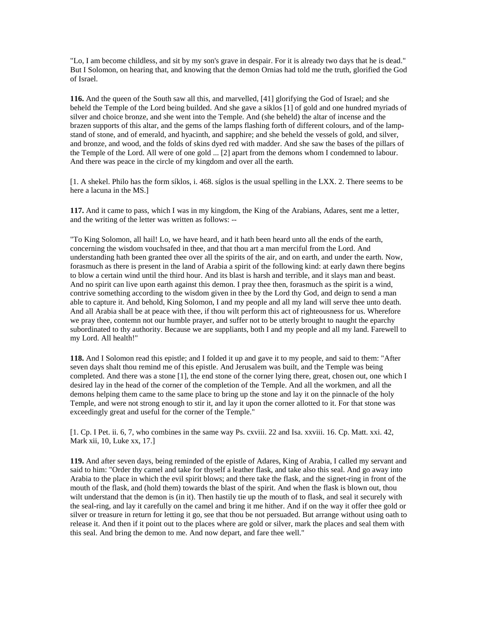"Lo, I am become childless, and sit by my son's grave in despair. For it is already two days that he is dead." But I Solomon, on hearing that, and knowing that the demon Ornias had told me the truth, glorified the God of Israel.

**116.** And the queen of the South saw all this, and marvelled, [41] glorifying the God of Israel; and she beheld the Temple of the Lord being builded. And she gave a siklos [1] of gold and one hundred myriads of silver and choice bronze, and she went into the Temple. And (she beheld) the altar of incense and the brazen supports of this altar, and the gems of the lamps flashing forth of different colours, and of the lampstand of stone, and of emerald, and hyacinth, and sapphire; and she beheld the vessels of gold, and silver, and bronze, and wood, and the folds of skins dyed red with madder. And she saw the bases of the pillars of the Temple of the Lord. All were of one gold ... [2] apart from the demons whom I condemned to labour. And there was peace in the circle of my kingdom and over all the earth.

[1. A shekel. Philo has the form síklos, i. 468. síglos is the usual spelling in the LXX. 2. There seems to be here a lacuna in the MS.]

**117.** And it came to pass, which I was in my kingdom, the King of the Arabians, Adares, sent me a letter, and the writing of the letter was written as follows: --

"To King Solomon, all hail! Lo, we have heard, and it hath been heard unto all the ends of the earth, concerning the wisdom vouchsafed in thee, and that thou art a man merciful from the Lord. And understanding hath been granted thee over all the spirits of the air, and on earth, and under the earth. Now, forasmuch as there is present in the land of Arabia a spirit of the following kind: at early dawn there begins to blow a certain wind until the third hour. And its blast is harsh and terrible, and it slays man and beast. And no spirit can live upon earth against this demon. I pray thee then, forasmuch as the spirit is a wind, contrive something according to the wisdom given in thee by the Lord thy God, and deign to send a man able to capture it. And behold, King Solomon, I and my people and all my land will serve thee unto death. And all Arabia shall be at peace with thee, if thou wilt perform this act of righteousness for us. Wherefore we pray thee, contemn not our humble prayer, and suffer not to be utterly brought to naught the eparchy subordinated to thy authority. Because we are suppliants, both I and my people and all my land. Farewell to my Lord. All health!"

**118.** And I Solomon read this epistle; and I folded it up and gave it to my people, and said to them: "After seven days shalt thou remind me of this epistle. And Jerusalem was built, and the Temple was being completed. And there was a stone [1], the end stone of the corner lying there, great, chosen out, one which I desired lay in the head of the corner of the completion of the Temple. And all the workmen, and all the demons helping them came to the same place to bring up the stone and lay it on the pinnacle of the holy Temple, and were not strong enough to stir it, and lay it upon the corner allotted to it. For that stone was exceedingly great and useful for the corner of the Temple."

[1. Cp. I Pet. ii. 6, 7, who combines in the same way Ps. cxviii. 22 and Isa. xxviii. 16. Cp. Matt. xxi. 42, Mark xii, 10, Luke xx, 17.]

**119.** And after seven days, being reminded of the epistle of Adares, King of Arabia, I called my servant and said to him: "Order thy camel and take for thyself a leather flask, and take also this seal. And go away into Arabia to the place in which the evil spirit blows; and there take the flask, and the signet-ring in front of the mouth of the flask, and (hold them) towards the blast of the spirit. And when the flask is blown out, thou wilt understand that the demon is (in it). Then hastily tie up the mouth of to flask, and seal it securely with the seal-ring, and lay it carefully on the camel and bring it me hither. And if on the way it offer thee gold or silver or treasure in return for letting it go, see that thou be not persuaded. But arrange without using oath to release it. And then if it point out to the places where are gold or silver, mark the places and seal them with this seal. And bring the demon to me. And now depart, and fare thee well."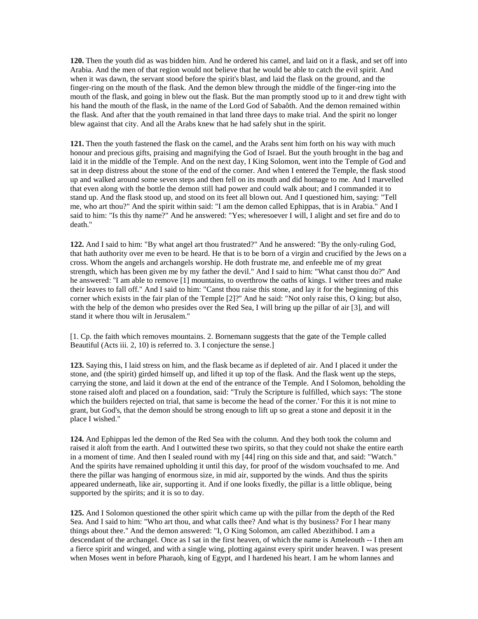**120.** Then the youth did as was bidden him. And he ordered his camel, and laid on it a flask, and set off into Arabia. And the men of that region would not believe that he would be able to catch the evil spirit. And when it was dawn, the servant stood before the spirit's blast, and laid the flask on the ground, and the finger-ring on the mouth of the flask. And the demon blew through the middle of the finger-ring into the mouth of the flask, and going in blew out the flask. But the man promptly stood up to it and drew tight with his hand the mouth of the flask, in the name of the Lord God of Sabaôth. And the demon remained within the flask. And after that the youth remained in that land three days to make trial. And the spirit no longer blew against that city. And all the Arabs knew that he had safely shut in the spirit.

**121.** Then the youth fastened the flask on the camel, and the Arabs sent him forth on his way with much honour and precious gifts, praising and magnifying the God of Israel. But the youth brought in the bag and laid it in the middle of the Temple. And on the next day, I King Solomon, went into the Temple of God and sat in deep distress about the stone of the end of the corner. And when I entered the Temple, the flask stood up and walked around some seven steps and then fell on its mouth and did homage to me. And I marvelled that even along with the bottle the demon still had power and could walk about; and I commanded it to stand up. And the flask stood up, and stood on its feet all blown out. And I questioned him, saying: "Tell me, who art thou?" And the spirit within said: "I am the demon called Ephippas, that is in Arabia." And I said to him: "Is this thy name?" And he answered: "Yes; wheresoever I will, I alight and set fire and do to death."

**122.** And I said to him: "By what angel art thou frustrated?" And he answered: "By the only-ruling God, that hath authority over me even to be heard. He that is to be born of a virgin and crucified by the Jews on a cross. Whom the angels and archangels worship. He doth frustrate me, and enfeeble me of my great strength, which has been given me by my father the devil." And I said to him: "What canst thou do?'' And he answered: ''I am able to remove [1] mountains, to overthrow the oaths of kings. I wither trees and make their leaves to fall off." And I said to him: "Canst thou raise this stone, and lay it for the beginning of this corner which exists in the fair plan of the Temple [2]?'' And he said: "Not only raise this, O king; but also, with the help of the demon who presides over the Red Sea, I will bring up the pillar of air [3], and will stand it where thou wilt in Jerusalem.''

[1. Cp. the faith which removes mountains. 2. Bornemann suggests that the gate of the Temple called Beautiful (Acts iii. 2, 10) is referred to. 3. I conjecture the sense.

**123.** Saying this, I laid stress on him, and the flask became as if depleted of air. And I placed it under the stone, and (the spirit) girded himself up, and lifted it up top of the flask. And the flask went up the steps, carrying the stone, and laid it down at the end of the entrance of the Temple. And I Solomon, beholding the stone raised aloft and placed on a foundation, said: "Truly the Scripture is fulfilled, which says: 'The stone which the builders rejected on trial, that same is become the head of the corner.' For this it is not mine to grant, but God's, that the demon should be strong enough to lift up so great a stone and deposit it in the place I wished."

**124.** And Ephippas led the demon of the Red Sea with the column. And they both took the column and raised it aloft from the earth. And I outwitted these two spirits, so that they could not shake the entire earth in a moment of time. And then I sealed round with my [44] ring on this side and that, and said: "Watch." And the spirits have remained upholding it until this day, for proof of the wisdom vouchsafed to me. And there the pillar was hanging of enormous size, in mid air, supported by the winds. And thus the spirits appeared underneath, like air, supporting it. And if one looks fixedly, the pillar is a little oblique, being supported by the spirits; and it is so to day.

**125.** And I Solomon questioned the other spirit which came up with the pillar from the depth of the Red Sea. And I said to him: "Who art thou, and what calls thee? And what is thy business? For I hear many things about thee.'' And the demon answered: "I, O King Solomon, am called Abezithibod. I am a descendant of the archangel. Once as I sat in the first heaven, of which the name is Ameleouth -- I then am a fierce spirit and winged, and with a single wing, plotting against every spirit under heaven. I was present when Moses went in before Pharaoh, king of Egypt, and I hardened his heart. I am he whom Iannes and